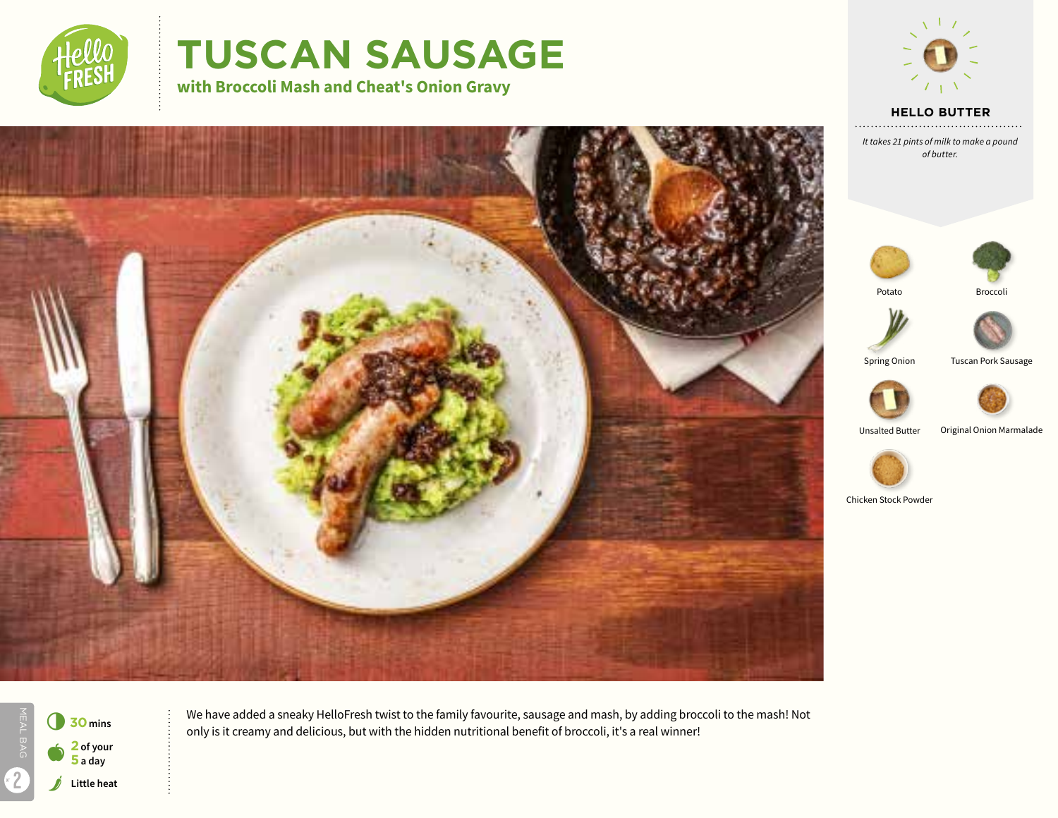

# **TUSCAN SAUSAGE**

**with Broccoli Mash and Cheat's Onion Gravy**



**HELLO BUTTER**

*It takes 21 pints of milk to make a pound of butter.*









Unsalted Butter Original Onion Marmalade



Chicken Stock Powder



MEAL BAG **Little heat** 6**<sup>30</sup>mins** a **<sup>2</sup> of your 5 a day** 2

We have added a sneaky HelloFresh twist to the family favourite, sausage and mash, by adding broccoli to the mash! Not only is it creamy and delicious, but with the hidden nutritional benefit of broccoli, it's a real winner!

Spring Onion Tuscan Pork Sausage